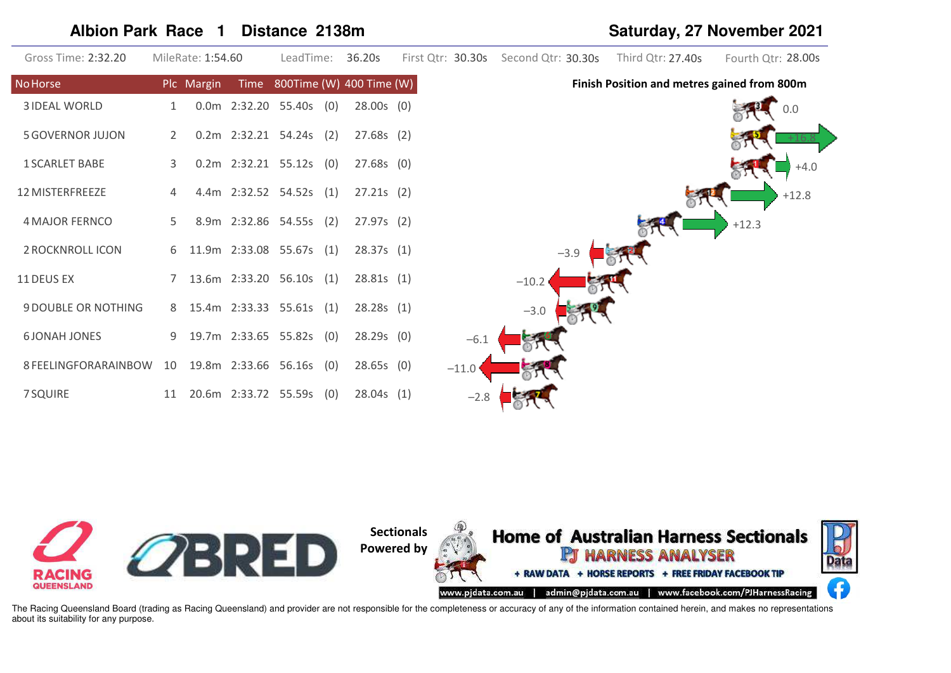#### **Albion Park Race 1 Distance 2138m Saturday, 27 November 2021**

| Gross Time: 2:32.20        |    | MileRate: 1:54.60 |      | LeadTime:                  | 36.20s                   | First Qtr: 30.30s | Second Qtr: 30.30s | Third Qtr: 27.40s                           | Fourth Qtr: 28.00s |
|----------------------------|----|-------------------|------|----------------------------|--------------------------|-------------------|--------------------|---------------------------------------------|--------------------|
| <b>No Horse</b>            |    | Plc Margin        | Time |                            | 800Time (W) 400 Time (W) |                   |                    | Finish Position and metres gained from 800m |                    |
| <b>3 IDEAL WORLD</b>       | 1  |                   |      | 0.0m 2:32.20 55.40s (0)    | $28.00s$ (0)             |                   |                    |                                             |                    |
| <b>5 GOVERNOR JUJON</b>    | 2  |                   |      | 0.2m 2:32.21 54.24s (2)    | $27.68s$ (2)             |                   |                    |                                             |                    |
| <b>1 SCARLET BABE</b>      | 3  |                   |      | $0.2m$ 2:32.21 55.12s (0)  | $27.68s$ (0)             |                   |                    |                                             | $+4.0$             |
| 12 MISTERFREEZE            | 4  |                   |      | 4.4m 2:32.52 54.52s (1)    | $27.21s$ (2)             |                   |                    |                                             | $+12.8$            |
| <b>4 MAJOR FERNCO</b>      | 5  |                   |      | 8.9m 2:32.86 54.55s (2)    | 27.97s(2)                |                   |                    |                                             | $+12.3$            |
| 2 ROCKNROLL ICON           |    |                   |      | 6 11.9m 2:33.08 55.67s (1) | 28.37s(1)                |                   | $-3.9$             |                                             |                    |
| 11 DEUS EX                 |    |                   |      | 13.6m 2:33.20 56.10s (1)   | 28.81s(1)                |                   | $-10.2$            |                                             |                    |
| <b>9 DOUBLE OR NOTHING</b> |    |                   |      | 8 15.4m 2:33.33 55.61s (1) | 28.28s(1)                |                   | $-3.0$             |                                             |                    |
| <b>6JONAH JONES</b>        | 9  |                   |      | 19.7m 2:33.65 55.82s (0)   | $28.29s$ (0)             | $-6.1$            |                    |                                             |                    |
| 8 FEELINGFORARAINBOW       | 10 |                   |      | 19.8m 2:33.66 56.16s (0)   | 28.65s(0)                | $-11.0$           |                    |                                             |                    |
| 7 SQUIRE                   | 11 |                   |      | 20.6m 2:33.72 55.59s (0)   | 28.04s(1)                | $-2.8$            |                    |                                             |                    |

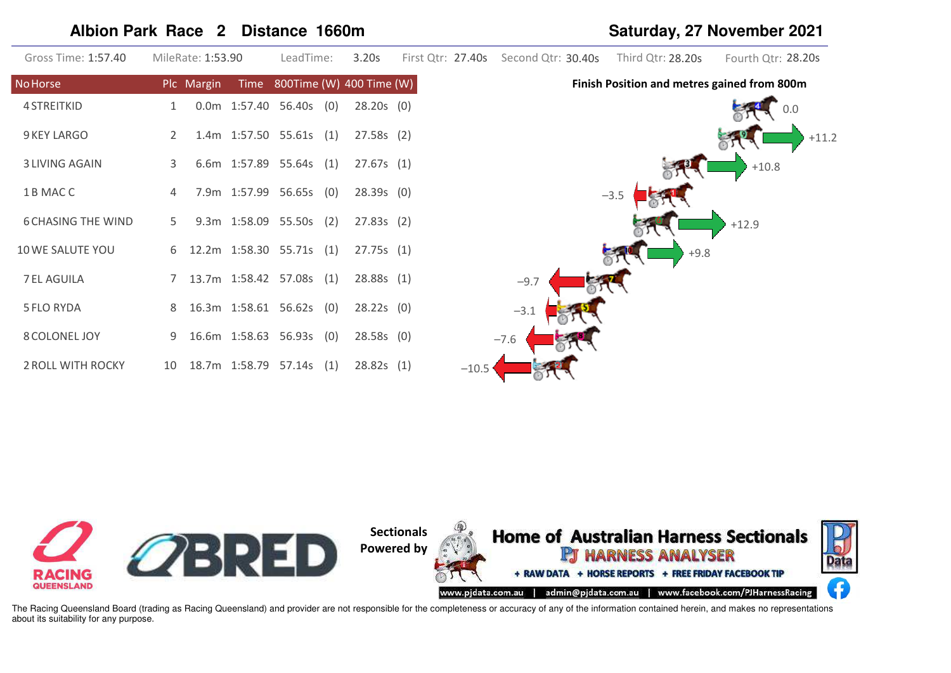# **Albion Park Race 2 Distance 1660m Saturday, 27 November 2021**

| Gross Time: 1:57.40       |    | MileRate: 1:53.90 | LeadTime:                     |     | 3.20s        |         | First Qtr: 27.40s Second Qtr: 30.40s | Third Qtr: 28.20s                           | Fourth Qtr: 28.20s |
|---------------------------|----|-------------------|-------------------------------|-----|--------------|---------|--------------------------------------|---------------------------------------------|--------------------|
| <b>No Horse</b>           |    | Plc Margin        | Time 800Time (W) 400 Time (W) |     |              |         |                                      | Finish Position and metres gained from 800m |                    |
| <b>4 STREITKID</b>        | 1  |                   | $0.0m$ 1:57.40 56.40s (0)     |     | $28.20s$ (0) |         |                                      |                                             |                    |
| 9 KEY LARGO               | 2  |                   | 1.4m 1:57.50 55.61s (1)       |     | 27.58s(2)    |         |                                      |                                             | $+11.2$            |
| <b>3 LIVING AGAIN</b>     | 3  |                   | 6.6m 1:57.89 55.64s (1)       |     | 27.67s(1)    |         |                                      |                                             | $+10.8$            |
| 1 B MAC C                 | 4  |                   | 7.9m 1:57.99 56.65s (0)       |     | $28.39s$ (0) |         |                                      | $-3.5$                                      |                    |
| <b>6 CHASING THE WIND</b> | 5  |                   | 9.3m 1:58.09 55.50s (2)       |     | 27.83s(2)    |         |                                      |                                             | $+12.9$            |
| 10 WE SALUTE YOU          | 6  |                   | 12.2m 1:58.30 55.71s (1)      |     | 27.75s(1)    |         |                                      | $+9.8$                                      |                    |
| 7 EL AGUILA               |    |                   | 7 13.7m 1:58.42 57.08s (1)    |     | 28.88s(1)    |         | $-9.7$                               |                                             |                    |
| <b>5 FLO RYDA</b>         | 8  |                   | 16.3m 1:58.61 56.62s (0)      |     | $28.22s$ (0) |         | $-3.1$                               |                                             |                    |
| 8 COLONEL JOY             | 9  |                   | 16.6m 1:58.63 56.93s (0)      |     | 28.58s(0)    |         | $-7.6$                               |                                             |                    |
| 2 ROLL WITH ROCKY         | 10 |                   | 18.7m  1:58.79  57.14s        | (1) | 28.82s(1)    | $-10.5$ |                                      |                                             |                    |

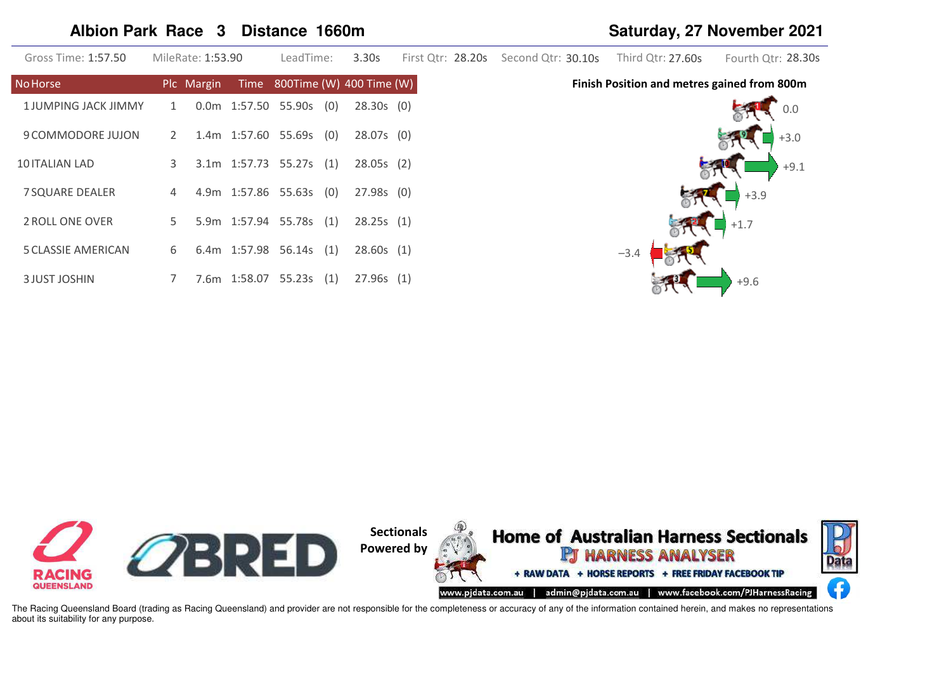#### **Albion Park Race 3 Distance 1660m Saturday, 27 November 2021**

| Gross Time: 1:57.50        |                | MileRate: 1:53.90 |                     | LeadTime:           |     | 3.30s                         | First Qtr: 28.20s Second Qtr: 30.10s | Third Qtr: 27.60s                           | Fourth Qtr: 28.30s |
|----------------------------|----------------|-------------------|---------------------|---------------------|-----|-------------------------------|--------------------------------------|---------------------------------------------|--------------------|
| <b>No Horse</b>            |                | Plc Margin        |                     |                     |     | Time 800Time (W) 400 Time (W) |                                      | Finish Position and metres gained from 800m |                    |
| <b>1JUMPING JACK JIMMY</b> | $\mathbf{1}$   |                   |                     | 0.0m 1:57.50 55.90s | (0) | $28.30s$ (0)                  |                                      |                                             | 0.0                |
| 9 COMMODORE JUJON          | 2              |                   |                     | 1.4m 1:57.60 55.69s | (0) | $28.07s$ (0)                  |                                      |                                             | $+3.0$             |
| 10 ITALIAN LAD             | 3              |                   |                     | 3.1m 1:57.73 55.27s | (1) | 28.05s(2)                     |                                      |                                             | $+9.1$             |
| <b>7 SQUARE DEALER</b>     | $\overline{4}$ |                   |                     | 4.9m 1:57.86 55.63s | (0) | $27.98s$ (0)                  |                                      |                                             | $+3.9$             |
| 2 ROLL ONE OVER            | 5 <sup>1</sup> |                   | 5.9m 1:57.94 55.78s |                     | (1) | 28.25s(1)                     |                                      |                                             | $+1.7$             |
| <b>5 CLASSIE AMERICAN</b>  | 6              |                   |                     | 6.4m 1:57.98 56.14s | (1) | 28.60s(1)                     |                                      | $-3.4$                                      |                    |
| <b>3 JUST JOSHIN</b>       |                |                   |                     | 7.6m 1:58.07 55.23s | (1) | 27.96s(1)                     |                                      |                                             | $+9.6$             |

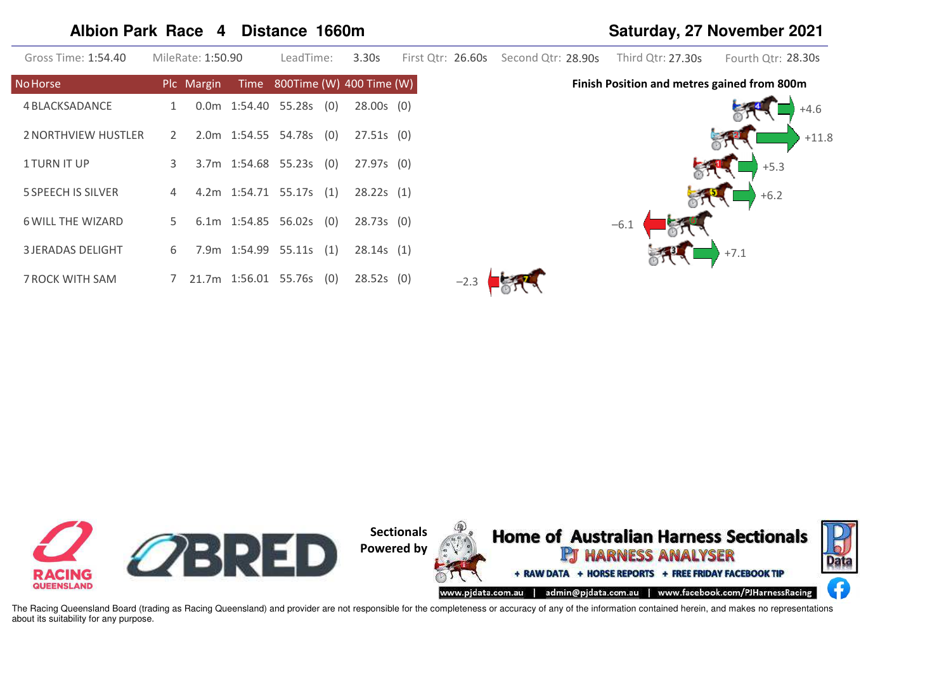# **Albion Park Race 4 Distance 1660m Saturday, 27 November 2021**

| Gross Time: 1:54.40        |    | MileRate: 1:50.90 | LeadTime:                  | 3.30s                         |        | First Qtr: 26.60s Second Qtr: 28.90s | Third Qtr: 27.30s                           | Fourth Qtr: 28.30s |
|----------------------------|----|-------------------|----------------------------|-------------------------------|--------|--------------------------------------|---------------------------------------------|--------------------|
| <b>No Horse</b>            |    | Plc Margin        |                            | Time 800Time (W) 400 Time (W) |        |                                      | Finish Position and metres gained from 800m |                    |
| 4 BLACKSADANCE             |    |                   | 0.0m 1:54.40 55.28s (0)    | $28.00s$ (0)                  |        |                                      |                                             | $+4.6$             |
| <b>2 NORTHVIEW HUSTLER</b> | 2  |                   | 2.0m 1:54.55 54.78s (0)    | $27.51s$ (0)                  |        |                                      |                                             | $+11.8$            |
| <b>1TURN IT UP</b>         | 3  |                   | 3.7m 1:54.68 55.23s (0)    | $27.97s$ (0)                  |        |                                      |                                             | $+5.3$             |
| <b>5 SPEECH IS SILVER</b>  | 4  |                   | 4.2m 1:54.71 55.17s (1)    | 28.22s(1)                     |        |                                      |                                             | $+6.2$             |
| <b>6 WILL THE WIZARD</b>   | 5. |                   | 6.1m $1:54.85$ 56.02s (0)  | 28.73s(0)                     |        |                                      | $-6.1$                                      |                    |
| <b>3 JERADAS DELIGHT</b>   | 6  |                   | 7.9m 1:54.99 55.11s (1)    | 28.14s(1)                     |        |                                      |                                             | $+7.1$             |
| 7 ROCK WITH SAM            |    |                   | 7 21.7m 1:56.01 55.76s (0) | $28.52s$ (0)                  | $-2.3$ |                                      |                                             |                    |

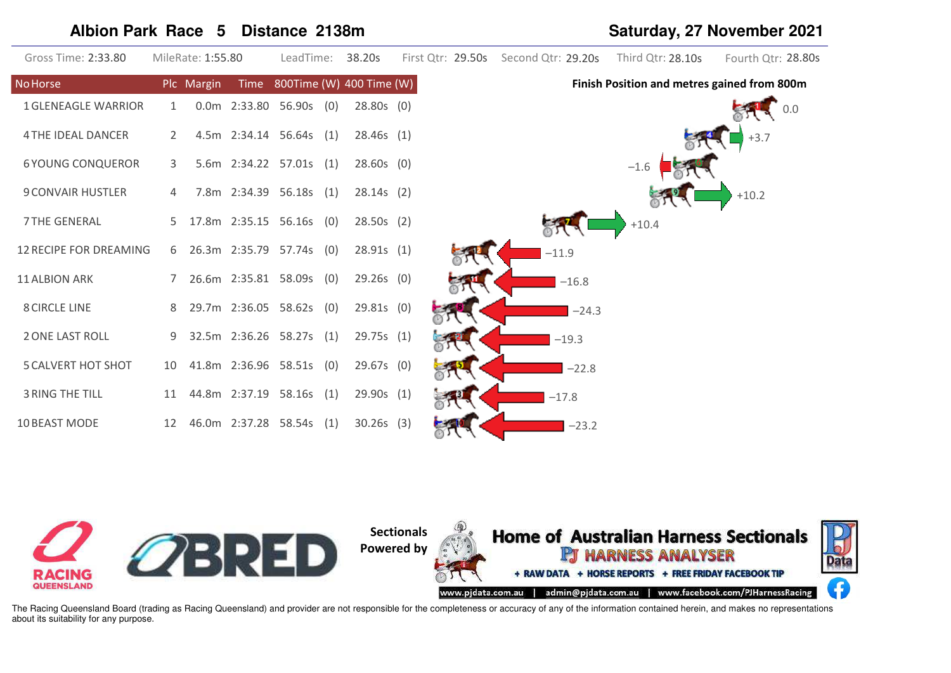# **Albion Park Race 5 Distance 2138m Saturday, 27 November 2021**

| Gross Time: 2:33.80           |    | MileRate: 1:55.80 | LeadTime:                  |     | 38.20s                        |     |  | First Qtr: 29.50s Second Qtr: 29.20s | Third Qtr: 28.10s                           | Fourth Qtr: 28.80s |
|-------------------------------|----|-------------------|----------------------------|-----|-------------------------------|-----|--|--------------------------------------|---------------------------------------------|--------------------|
| <b>No Horse</b>               |    | Plc Margin        |                            |     | Time 800Time (W) 400 Time (W) |     |  |                                      | Finish Position and metres gained from 800m |                    |
| <b>1 GLENEAGLE WARRIOR</b>    | 1  |                   | $0.0m$ 2:33.80 56.90s (0)  |     | $28.80s$ (0)                  |     |  |                                      |                                             | 0.0                |
| <b>4 THE IDEAL DANCER</b>     |    |                   | 4.5m 2:34.14 56.64s (1)    |     | 28.46s(1)                     |     |  |                                      |                                             | $+3.7$             |
| <b>6 YOUNG CONQUEROR</b>      | 3  |                   | 5.6m 2:34.22 57.01s (1)    |     | $28.60s$ (0)                  |     |  |                                      | $-1.6$                                      |                    |
| <b>9 CONVAIR HUSTLER</b>      | 4  |                   | 7.8m 2:34.39 56.18s (1)    |     | 28.14s(2)                     |     |  |                                      |                                             | $+10.2$            |
| <b>7 THE GENERAL</b>          |    |                   | 17.8m 2:35.15 56.16s (0)   |     | 28.50s(2)                     |     |  |                                      | $+10.4$                                     |                    |
| <b>12 RECIPE FOR DREAMING</b> |    |                   | 6 26.3m 2:35.79 57.74s (0) |     | 28.91s(1)                     |     |  | $-11.9$                              |                                             |                    |
| 11 ALBION ARK                 |    |                   | 7 26.6m 2:35.81 58.09s (0) |     | $29.26s$ (0)                  |     |  | $-16.8$                              |                                             |                    |
| <b>8 CIRCLE LINE</b>          | 8  |                   | 29.7m 2:36.05 58.62s (0)   |     | $29.81s$ (0)                  |     |  | $-24.3$                              |                                             |                    |
| <b>2 ONE LAST ROLL</b>        | 9  |                   | 32.5m 2:36.26 58.27s (1)   |     | 29.75s(1)                     |     |  | $-19.3$                              |                                             |                    |
| <b>5 CALVERT HOT SHOT</b>     | 10 |                   | 41.8m 2:36.96 58.51s (0)   |     | $29.67s$ (0)                  |     |  | $-22.8$                              |                                             |                    |
| <b>3 RING THE TILL</b>        | 11 |                   | 44.8m 2:37.19 58.16s (1)   |     | 29.90s                        | (1) |  | $-17.8$                              |                                             |                    |
| 10 BEAST MODE                 | 12 |                   | 46.0m 2:37.28 58.54s       | (1) | 30.26s                        | (3) |  | $-23.2$                              |                                             |                    |

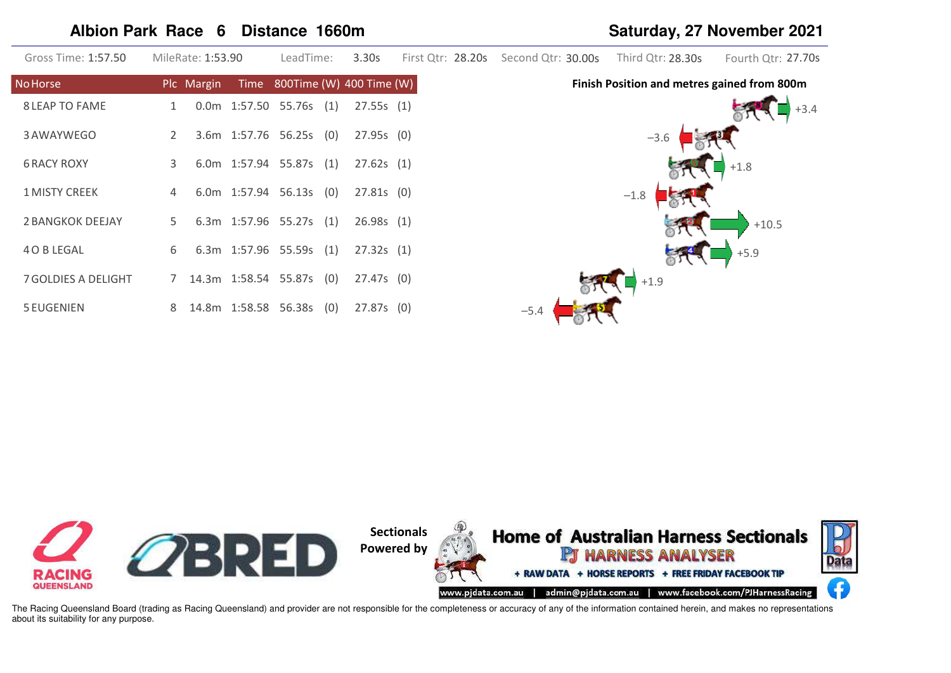# **Albion Park Race 6 Distance 1660m Saturday, 27 November 2021**

| Gross Time: 1:57.50        | MileRate: 1:53.90 | LeadTime:                       | 3.30s             | First Qtr: 28.20s Second Qtr: 30.00s | Third Qtr: 28.30s                           | Fourth Qtr: 27.70s |
|----------------------------|-------------------|---------------------------------|-------------------|--------------------------------------|---------------------------------------------|--------------------|
| No Horse                   | Plc Margin        | $Time$ 800Time (W) 400 Time (W) |                   |                                      | Finish Position and metres gained from 800m |                    |
| <b>8 LEAP TO FAME</b>      | 1                 | $0.0m$ 1:57.50 55.76s (1)       | 27.55s(1)         |                                      |                                             |                    |
| 3 AWAYWEGO                 | $2^{\circ}$       | 3.6m 1:57.76 56.25s (0)         | 27.95s(0)         |                                      | $-3.6$                                      |                    |
| <b>6 RACY ROXY</b>         | 3                 | 6.0m 1:57.94 55.87s (1)         | 27.62s(1)         |                                      |                                             | $+1.8$             |
| <b>1 MISTY CREEK</b>       | 4                 | 6.0m 1:57.94 56.13s (0)         | $27.81s$ (0)      |                                      | $-1.8$                                      |                    |
| 2 BANGKOK DEEJAY           | 5                 | 6.3m 1:57.96 55.27s (1)         | 26.98s(1)         |                                      |                                             | $+10.5$            |
| 4 O B LEGAL                | 6                 | 6.3m 1:57.96 55.59s (1)         | 27.32s(1)         |                                      |                                             | $+5.9$             |
| <b>7 GOLDIES A DELIGHT</b> |                   | 7 14.3m 1:58.54 55.87s (0)      | 27.47s (0)        |                                      | $+1.9$                                      |                    |
| <b>5 EUGENIEN</b>          | 8                 | 14.8m  1:58.58  56.38s          | (0)<br>27.87s (0) | $-5.4$                               |                                             |                    |

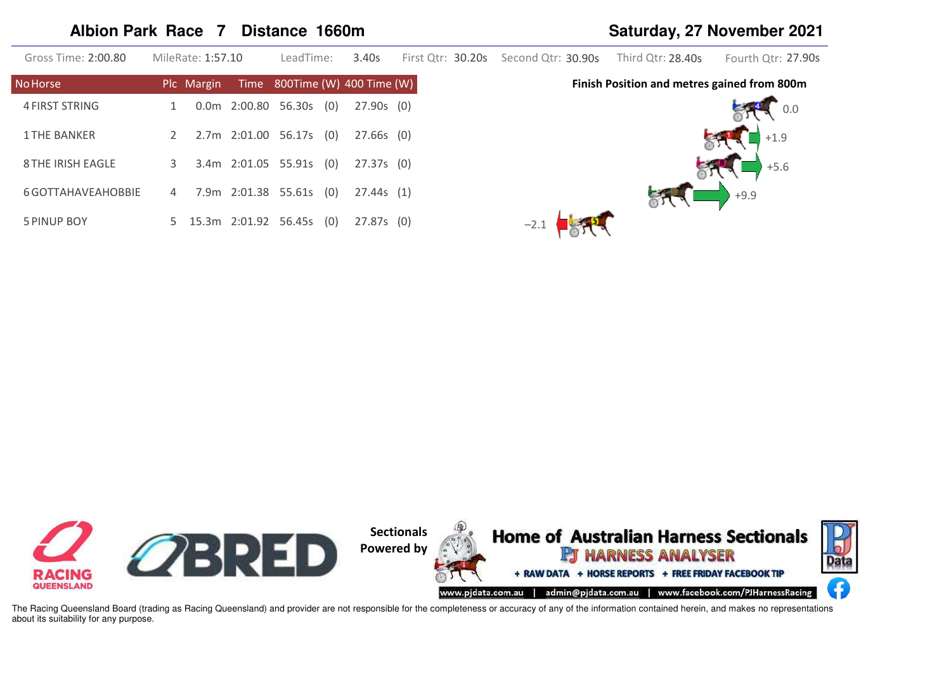# **Albion Park Race 7 Distance 1660m Saturday, 27 November 2021**

| Gross Time: 2:00.80      |   | MileRate: 1:57.10 | LeadTime:              |     | 3.40s                         | First Otr: 30.20s | Second Otr: 30.90s | Third Otr: 28.40s                           | Fourth Otr: 27.90s |
|--------------------------|---|-------------------|------------------------|-----|-------------------------------|-------------------|--------------------|---------------------------------------------|--------------------|
| <b>No Horse</b>          |   | Plc Margin        |                        |     | Time 800Time (W) 400 Time (W) |                   |                    | Finish Position and metres gained from 800m |                    |
| 4 FIRST STRING           |   |                   | 0.0m 2:00.80 56.30s    | (0) | 27.90s (0)                    |                   |                    |                                             | 0.0                |
| <b>1 THE BANKER</b>      |   |                   | 2.7m 2:01.00 56.17s    | (0) | 27.66s (0)                    |                   |                    |                                             | $+1.9$             |
| <b>8 THE IRISH EAGLE</b> | 3 |                   | 3.4m 2:01.05 55.91s    | (0) | 27.37s (0)                    |                   |                    |                                             | $+5.6$             |
| 6 GOTTAHAVEAHOBBIE       | 4 |                   | 7.9m  2:01.38  55.61s  | (0) | 27.44s(1)                     |                   |                    |                                             | $+9.9$             |
| 5 PINUP BOY              |   |                   | 5 15.3m 2:01.92 56.45s | (0) | 27.87s(0)                     |                   | $-2.1$             |                                             |                    |

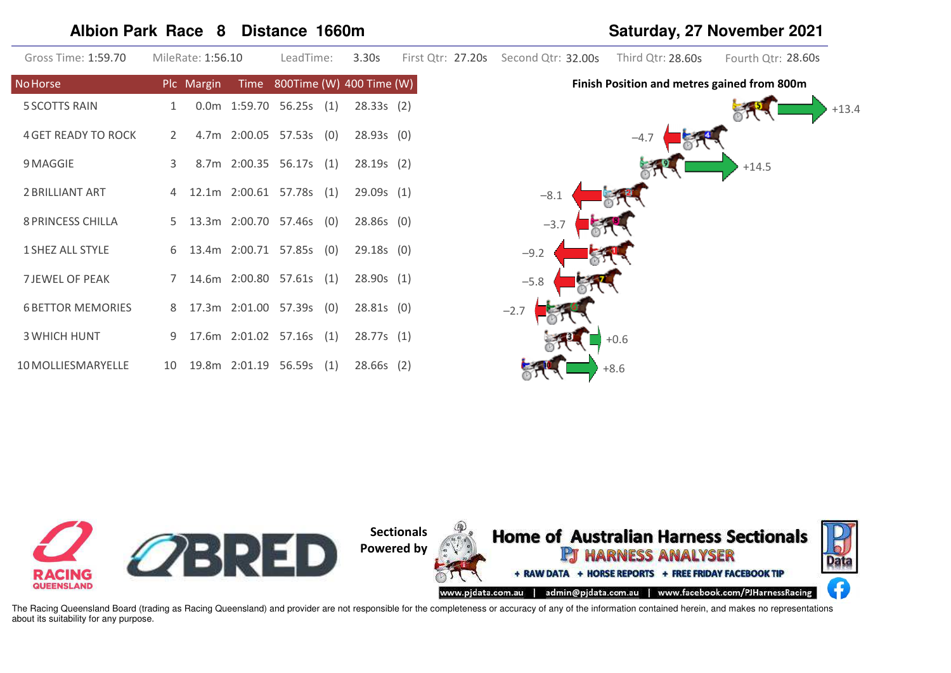# Albion Park Race 8 Distance 1660m

| Gross Time: 1:59.70        |    | MileRate: 1:56.10 | LeadTime:                     |     | 3.30s        | First Qtr: 27.20s Second Qtr: 32.00s | Third Qtr: 28.60s                           | Fourth Qtr: 28.60s |
|----------------------------|----|-------------------|-------------------------------|-----|--------------|--------------------------------------|---------------------------------------------|--------------------|
| <b>No Horse</b>            |    | Plc Margin        | Time 800Time (W) 400 Time (W) |     |              |                                      | Finish Position and metres gained from 800m |                    |
| <b>5 SCOTTS RAIN</b>       |    |                   | 0.0m 1:59.70 56.25s (1)       |     | 28.33s(2)    |                                      |                                             | $+13.4$            |
| <b>4 GET READY TO ROCK</b> | 2  |                   | 4.7m 2:00.05 57.53s (0)       |     | 28.93s(0)    |                                      | $-4.7$                                      |                    |
| 9 MAGGIE                   | 3  |                   | 8.7m 2:00.35 56.17s (1)       |     | 28.19s(2)    |                                      |                                             | $+14.5$            |
| 2 BRILLIANT ART            | 4  |                   | 12.1m 2:00.61 57.78s (1)      |     | 29.09s(1)    | $-8.1$                               |                                             |                    |
| <b>8 PRINCESS CHILLA</b>   | 5. |                   | 13.3m 2:00.70 57.46s (0)      |     | $28.86s$ (0) | $-3.7$                               |                                             |                    |
| 1 SHEZ ALL STYLE           |    |                   | 6 13.4m 2:00.71 57.85s (0)    |     | $29.18s$ (0) | $-9.2$                               |                                             |                    |
| <b>7 JEWEL OF PEAK</b>     |    |                   | 14.6m 2:00.80 57.61s (1)      |     | 28.90s(1)    | $-5.8$                               |                                             |                    |
| <b>6 BETTOR MEMORIES</b>   | 8  |                   | 17.3m 2:01.00 57.39s (0)      |     | 28.81s(0)    | $-2.7$                               |                                             |                    |
| <b>3 WHICH HUNT</b>        | 9  |                   | 17.6m 2:01.02 57.16s (1)      |     | 28.77s(1)    |                                      | $+0.6$                                      |                    |
| 10 MOLLIESMARYELLE         | 10 |                   | 19.8m  2:01.19  56.59s        | (1) | $28.66s$ (2) |                                      | $+8.6$                                      |                    |

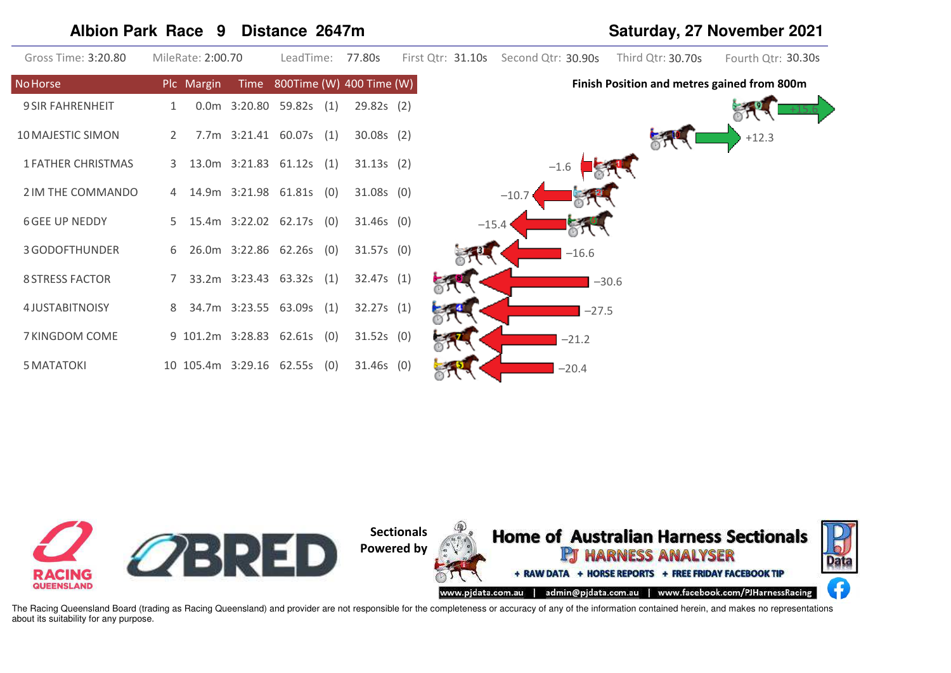# Albion Park Race 9 Distance 2647m

| Gross Time: 3:20.80       | MileRate: 2:00.70             | LeadTime:                     | 77.80s       | First Qtr: 31.10s Second Qtr: 30.90s | Third Qtr: 30.70s                           | Fourth Qtr: 30.30s |
|---------------------------|-------------------------------|-------------------------------|--------------|--------------------------------------|---------------------------------------------|--------------------|
| <b>No Horse</b>           | Plc Margin                    | Time 800Time (W) 400 Time (W) |              |                                      | Finish Position and metres gained from 800m |                    |
| <b>9 SIR FAHRENHEIT</b>   |                               | 0.0m 3:20.80 59.82s (1)       | 29.82s(2)    |                                      |                                             |                    |
| 10 MAJESTIC SIMON         | 2                             | 7.7m 3:21.41 60.07s (1)       | $30.08s$ (2) |                                      |                                             | $+12.3$            |
| <b>1 FATHER CHRISTMAS</b> | 3 13.0m 3:21.83 61.12s (1)    |                               | 31.13s(2)    | $-1.6$                               |                                             |                    |
| 2 IM THE COMMANDO         | 4 14.9m 3:21.98 61.81s (0)    |                               | $31.08s$ (0) | $-10.7$                              |                                             |                    |
| <b>6 GEE UP NEDDY</b>     | 5 15.4m 3:22.02 62.17s (0)    |                               | $31.46s$ (0) | $-15.4$                              |                                             |                    |
| 3 GODOFTHUNDER            | 26.0m 3:22.86 62.26s (0)<br>6 |                               | $31.57s$ (0) | $-16.6$                              |                                             |                    |
| <b>8 STRESS FACTOR</b>    |                               | 33.2m 3:23.43 63.32s (1)      | 32.47s(1)    |                                      | $-30.6$                                     |                    |
| <b>4 JUSTABITNOISY</b>    | 8                             | 34.7m 3:23.55 63.09s (1)      | 32.27s(1)    |                                      | $-27.5$                                     |                    |
| 7 KINGDOM COME            | 9 101.2m 3:28.83 62.61s (0)   |                               | $31.52s$ (0) | $-21.2$                              |                                             |                    |
| <b>5 MATATOKI</b>         | 10 105.4m 3:29.16 62.55s (0)  |                               | $31.46s$ (0) | $-20.4$                              |                                             |                    |